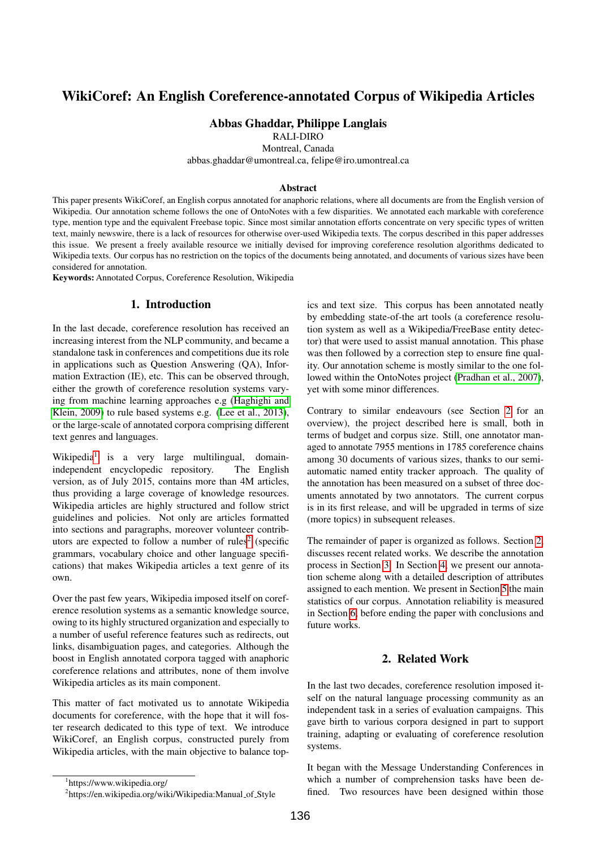# WikiCoref: An English Coreference-annotated Corpus of Wikipedia Articles

# Abbas Ghaddar, Philippe Langlais

RALI-DIRO

Montreal, Canada

abbas.ghaddar@umontreal.ca, felipe@iro.umontreal.ca

#### Abstract

This paper presents WikiCoref, an English corpus annotated for anaphoric relations, where all documents are from the English version of Wikipedia. Our annotation scheme follows the one of OntoNotes with a few disparities. We annotated each markable with coreference type, mention type and the equivalent Freebase topic. Since most similar annotation efforts concentrate on very specific types of written text, mainly newswire, there is a lack of resources for otherwise over-used Wikipedia texts. The corpus described in this paper addresses this issue. We present a freely available resource we initially devised for improving coreference resolution algorithms dedicated to Wikipedia texts. Our corpus has no restriction on the topics of the documents being annotated, and documents of various sizes have been considered for annotation.

Keywords: Annotated Corpus, Coreference Resolution, Wikipedia

# 1. Introduction

In the last decade, coreference resolution has received an increasing interest from the NLP community, and became a standalone task in conferences and competitions due its role in applications such as Question Answering (QA), Information Extraction (IE), etc. This can be observed through, either the growth of coreference resolution systems varying from machine learning approaches e.g [\(Haghighi and](#page-6-0) [Klein, 2009\)](#page-6-0) to rule based systems e.g. [\(Lee et al., 2013\)](#page-6-1), or the large-scale of annotated corpora comprising different text genres and languages.

Wikipedia<sup>[1](#page-0-0)</sup> is a very large multilingual, domainindependent encyclopedic repository. The English version, as of July 2015, contains more than 4M articles, thus providing a large coverage of knowledge resources. Wikipedia articles are highly structured and follow strict guidelines and policies. Not only are articles formatted into sections and paragraphs, moreover volunteer contrib-utors are expected to follow a number of rules<sup>[2](#page-0-1)</sup> (specific grammars, vocabulary choice and other language specifications) that makes Wikipedia articles a text genre of its own.

Over the past few years, Wikipedia imposed itself on coreference resolution systems as a semantic knowledge source, owing to its highly structured organization and especially to a number of useful reference features such as redirects, out links, disambiguation pages, and categories. Although the boost in English annotated corpora tagged with anaphoric coreference relations and attributes, none of them involve Wikipedia articles as its main component.

This matter of fact motivated us to annotate Wikipedia documents for coreference, with the hope that it will foster research dedicated to this type of text. We introduce WikiCoref, an English corpus, constructed purely from Wikipedia articles, with the main objective to balance topics and text size. This corpus has been annotated neatly by embedding state-of-the art tools (a coreference resolution system as well as a Wikipedia/FreeBase entity detector) that were used to assist manual annotation. This phase was then followed by a correction step to ensure fine quality. Our annotation scheme is mostly similar to the one followed within the OntoNotes project [\(Pradhan et al., 2007\)](#page-6-2), yet with some minor differences.

Contrary to similar endeavours (see Section [2](#page-0-2) for an overview), the project described here is small, both in terms of budget and corpus size. Still, one annotator managed to annotate 7955 mentions in 1785 coreference chains among 30 documents of various sizes, thanks to our semiautomatic named entity tracker approach. The quality of the annotation has been measured on a subset of three documents annotated by two annotators. The current corpus is in its first release, and will be upgraded in terms of size (more topics) in subsequent releases.

The remainder of paper is organized as follows. Section [2,](#page-0-2) discusses recent related works. We describe the annotation process in Section [3.](#page-1-0) In Section [4,](#page-3-0) we present our annotation scheme along with a detailed description of attributes assigned to each mention. We present in Section [5](#page-4-0) the main statistics of our corpus. Annotation reliability is measured in Section [6,](#page-5-0) before ending the paper with conclusions and future works.

## 2. Related Work

<span id="page-0-2"></span>In the last two decades, coreference resolution imposed itself on the natural language processing community as an independent task in a series of evaluation campaigns. This gave birth to various corpora designed in part to support training, adapting or evaluating of coreference resolution systems.

It began with the Message Understanding Conferences in which a number of comprehension tasks have been defined. Two resources have been designed within those

<span id="page-0-0"></span><sup>1</sup> https://www.wikipedia.org/

<span id="page-0-1"></span><sup>&</sup>lt;sup>2</sup>https://en.wikipedia.org/wiki/Wikipedia:Manual\_of\_Style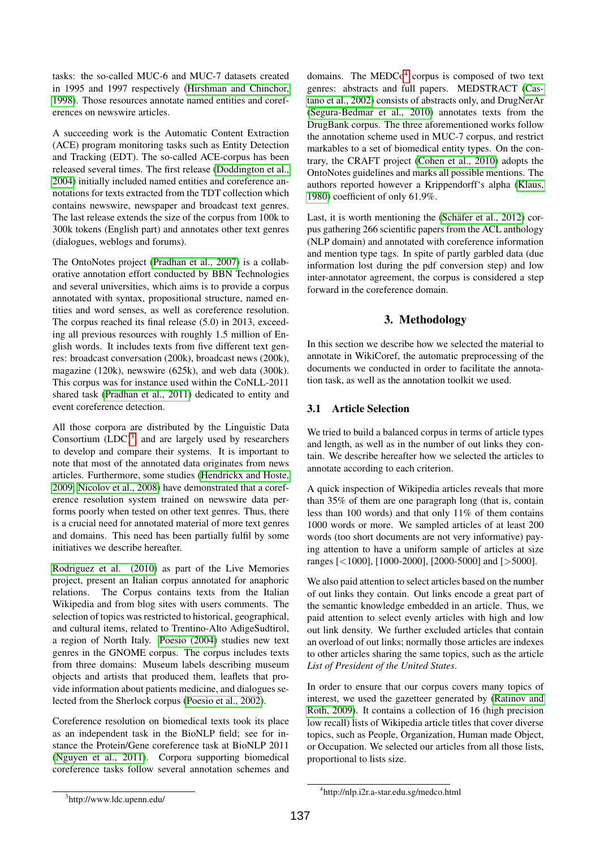tasks: the so-called MUC-6 and MUC-7 datasets created in 1995 and 1997 respectively [\(Hirshman and Chinchor,](#page-6-3) [1998\)](#page-6-3). Those resources annotate named entities and coreferences on newswire articles.

A succeeding work is the Automatic Content Extraction (ACE) program monitoring tasks such as Entity Detection and Tracking (EDT). The so-called ACE-corpus has been released several times. The first release [\(Doddington et al.,](#page-6-4) [2004\)](#page-6-4) initially included named entities and coreference annotations for texts extracted from the TDT collection which contains newswire, newspaper and broadcast text genres. The last release extends the size of the corpus from 100k to 300k tokens (English part) and annotates other text genres (dialogues, weblogs and forums).

The OntoNotes project [\(Pradhan et al., 2007\)](#page-6-2) is a collaborative annotation effort conducted by BBN Technologies and several universities, which aims is to provide a corpus annotated with syntax, propositional structure, named entities and word senses, as well as coreference resolution. The corpus reached its final release (5.0) in 2013, exceeding all previous resources with roughly 1.5 million of English words. It includes texts from five different text genres: broadcast conversation (200k), broadcast news (200k), magazine (120k), newswire (625k), and web data (300k). This corpus was for instance used within the CoNLL-2011 shared task [\(Pradhan et al., 2011\)](#page-6-5) dedicated to entity and event coreference detection.

All those corpora are distributed by the Linguistic Data Consortium  $(LDC)^3$  $(LDC)^3$ , and are largely used by researchers to develop and compare their systems. It is important to note that most of the annotated data originates from news articles. Furthermore, some studies [\(Hendrickx and Hoste,](#page-6-6) [2009;](#page-6-6) [Nicolov et al., 2008\)](#page-6-7) have demonstrated that a coreference resolution system trained on newswire data performs poorly when tested on other text genres. Thus, there is a crucial need for annotated material of more text genres and domains. This need has been partially fulfil by some initiatives we describe hereafter.

[Rodriguez et al. \(2010\)](#page-6-8) as part of the Live Memories project, present an Italian corpus annotated for anaphoric relations. The Corpus contains texts from the Italian Wikipedia and from blog sites with users comments. The selection of topics was restricted to historical, geographical, and cultural items, related to Trentino-Alto AdigeSudtirol, a region of North Italy. [Poesio \(2004\)](#page-6-9) studies new text genres in the GNOME corpus. The corpus includes texts from three domains: Museum labels describing museum objects and artists that produced them, leaflets that provide information about patients medicine, and dialogues selected from the Sherlock corpus [\(Poesio et al., 2002\)](#page-6-10).

Coreference resolution on biomedical texts took its place as an independent task in the BioNLP field; see for instance the Protein/Gene coreference task at BioNLP 2011 [\(Nguyen et al., 2011\)](#page-6-11). Corpora supporting biomedical coreference tasks follow several annotation schemes and

domains. The  $\text{MEDCo}^4$  $\text{MEDCo}^4$  corpus is composed of two text genres: abstracts and full papers. MEDSTRACT [\(Cas](#page-6-12)[tano et al., 2002\)](#page-6-12) consists of abstracts only, and DrugNerAr [\(Segura-Bedmar et al., 2010\)](#page-6-13) annotates texts from the DrugBank corpus. The three aforementioned works follow the annotation scheme used in MUC-7 corpus, and restrict markables to a set of biomedical entity types. On the contrary, the CRAFT project [\(Cohen et al., 2010\)](#page-6-14) adopts the OntoNotes guidelines and marks all possible mentions. The authors reported however a Krippendorff's alpha [\(Klaus,](#page-6-15) [1980\)](#page-6-15) coefficient of only 61.9%.

Last, it is worth mentioning the (Schäfer et al.,  $2012$ ) corpus gathering 266 scientific papers from the ACL anthology (NLP domain) and annotated with coreference information and mention type tags. In spite of partly garbled data (due information lost during the pdf conversion step) and low inter-annotator agreement, the corpus is considered a step forward in the coreference domain.

# 3. Methodology

<span id="page-1-0"></span>In this section we describe how we selected the material to annotate in WikiCoref, the automatic preprocessing of the documents we conducted in order to facilitate the annotation task, as well as the annotation toolkit we used.

# 3.1 Article Selection

We tried to build a balanced corpus in terms of article types and length, as well as in the number of out links they contain. We describe hereafter how we selected the articles to annotate according to each criterion.

A quick inspection of Wikipedia articles reveals that more than 35% of them are one paragraph long (that is, contain less than 100 words) and that only 11% of them contains 1000 words or more. We sampled articles of at least 200 words (too short documents are not very informative) paying attention to have a uniform sample of articles at size ranges [<1000], [1000-2000], [2000-5000] and [>5000].

We also paid attention to select articles based on the number of out links they contain. Out links encode a great part of the semantic knowledge embedded in an article. Thus, we paid attention to select evenly articles with high and low out link density. We further excluded articles that contain an overload of out links; normally those articles are indexes to other articles sharing the same topics, such as the article *List of President of the United States*.

In order to ensure that our corpus covers many topics of interest, we used the gazetteer generated by [\(Ratinov and](#page-6-17) [Roth, 2009\)](#page-6-17). It contains a collection of 16 (high precision low recall) lists of Wikipedia article titles that cover diverse topics, such as People, Organization, Human made Object, or Occupation. We selected our articles from all those lists, proportional to lists size.

<span id="page-1-1"></span><sup>3</sup> http://www.ldc.upenn.edu/

<span id="page-1-2"></span><sup>4</sup> http://nlp.i2r.a-star.edu.sg/medco.html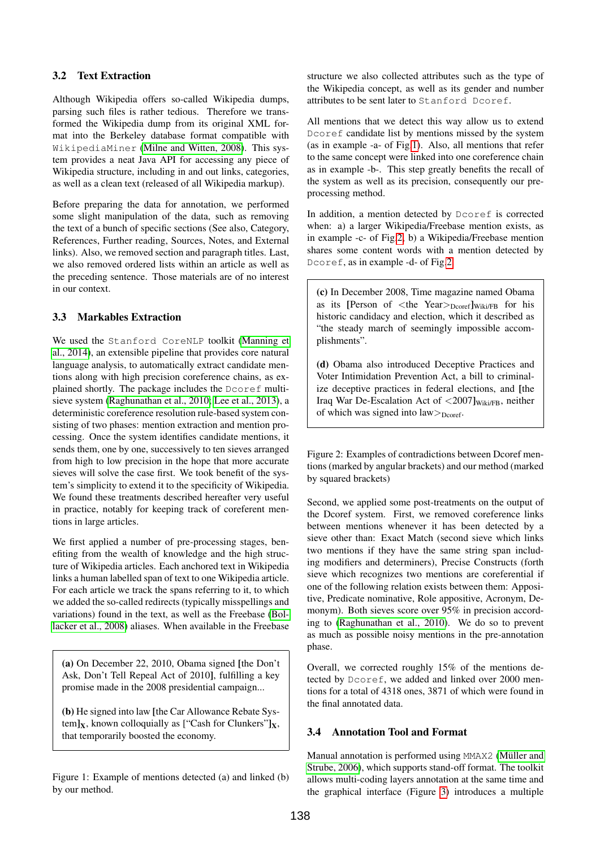# 3.2 Text Extraction

Although Wikipedia offers so-called Wikipedia dumps, parsing such files is rather tedious. Therefore we transformed the Wikipedia dump from its original XML format into the Berkeley database format compatible with WikipediaMiner [\(Milne and Witten, 2008\)](#page-6-18). This system provides a neat Java API for accessing any piece of Wikipedia structure, including in and out links, categories, as well as a clean text (released of all Wikipedia markup).

Before preparing the data for annotation, we performed some slight manipulation of the data, such as removing the text of a bunch of specific sections (See also, Category, References, Further reading, Sources, Notes, and External links). Also, we removed section and paragraph titles. Last, we also removed ordered lists within an article as well as the preceding sentence. Those materials are of no interest in our context.

# 3.3 Markables Extraction

We used the Stanford CoreNLP toolkit [\(Manning et](#page-6-19) [al., 2014\)](#page-6-19), an extensible pipeline that provides core natural language analysis, to automatically extract candidate mentions along with high precision coreference chains, as explained shortly. The package includes the Dcoref multisieve system [\(Raghunathan et al., 2010;](#page-6-20) [Lee et al., 2013\)](#page-6-1), a deterministic coreference resolution rule-based system consisting of two phases: mention extraction and mention processing. Once the system identifies candidate mentions, it sends them, one by one, successively to ten sieves arranged from high to low precision in the hope that more accurate sieves will solve the case first. We took benefit of the system's simplicity to extend it to the specificity of Wikipedia. We found these treatments described hereafter very useful in practice, notably for keeping track of coreferent mentions in large articles.

We first applied a number of pre-processing stages, benefiting from the wealth of knowledge and the high structure of Wikipedia articles. Each anchored text in Wikipedia links a human labelled span of text to one Wikipedia article. For each article we track the spans referring to it, to which we added the so-called redirects (typically misspellings and variations) found in the text, as well as the Freebase [\(Bol](#page-5-1)[lacker et al., 2008\)](#page-5-1) aliases. When available in the Freebase

(a) On December 22, 2010, Obama signed [the Don't Ask, Don't Tell Repeal Act of 2010], fulfilling a key promise made in the 2008 presidential campaign...

(b) He signed into law [the Car Allowance Rebate System] $x$ , known colloquially as ["Cash for Clunkers"] $x$ , that temporarily boosted the economy.

<span id="page-2-0"></span>Figure 1: Example of mentions detected (a) and linked (b) by our method.

structure we also collected attributes such as the type of the Wikipedia concept, as well as its gender and number attributes to be sent later to Stanford Dcoref.

All mentions that we detect this way allow us to extend Dcoref candidate list by mentions missed by the system (as in example -a- of Fig[.1\)](#page-2-0). Also, all mentions that refer to the same concept were linked into one coreference chain as in example -b-. This step greatly benefits the recall of the system as well as its precision, consequently our preprocessing method.

In addition, a mention detected by Dcoref is corrected when: a) a larger Wikipedia/Freebase mention exists, as in example -c- of Fig[.2,](#page-2-1) b) a Wikipedia/Freebase mention shares some content words with a mention detected by Dcoref, as in example -d- of Fig[.2.](#page-2-1)

(c) In December 2008, Time magazine named Obama as its [Person of  $\lt$ the Year $>_{\text{Dcore}}$ ] Wiki/FB for his historic candidacy and election, which it described as "the steady march of seemingly impossible accomplishments".

(d) Obama also introduced Deceptive Practices and Voter Intimidation Prevention Act, a bill to criminalize deceptive practices in federal elections, and [the Iraq War De-Escalation Act of  $\langle 2007]_{\text{Wiki/FB}}$ , neither of which was signed into  $law$  $>_{Dcoref}$ .

<span id="page-2-1"></span>Figure 2: Examples of contradictions between Dcoref mentions (marked by angular brackets) and our method (marked by squared brackets)

Second, we applied some post-treatments on the output of the Dcoref system. First, we removed coreference links between mentions whenever it has been detected by a sieve other than: Exact Match (second sieve which links two mentions if they have the same string span including modifiers and determiners), Precise Constructs (forth sieve which recognizes two mentions are coreferential if one of the following relation exists between them: Appositive, Predicate nominative, Role appositive, Acronym, Demonym). Both sieves score over 95% in precision according to [\(Raghunathan et al., 2010\)](#page-6-20). We do so to prevent as much as possible noisy mentions in the pre-annotation phase.

Overall, we corrected roughly 15% of the mentions detected by Dcoref, we added and linked over 2000 mentions for a total of 4318 ones, 3871 of which were found in the final annotated data.

### 3.4 Annotation Tool and Format

Manual annotation is performed using MMAX2 (Müller and [Strube, 2006\)](#page-6-21), which supports stand-off format. The toolkit allows multi-coding layers annotation at the same time and the graphical interface (Figure [3\)](#page-3-1) introduces a multiple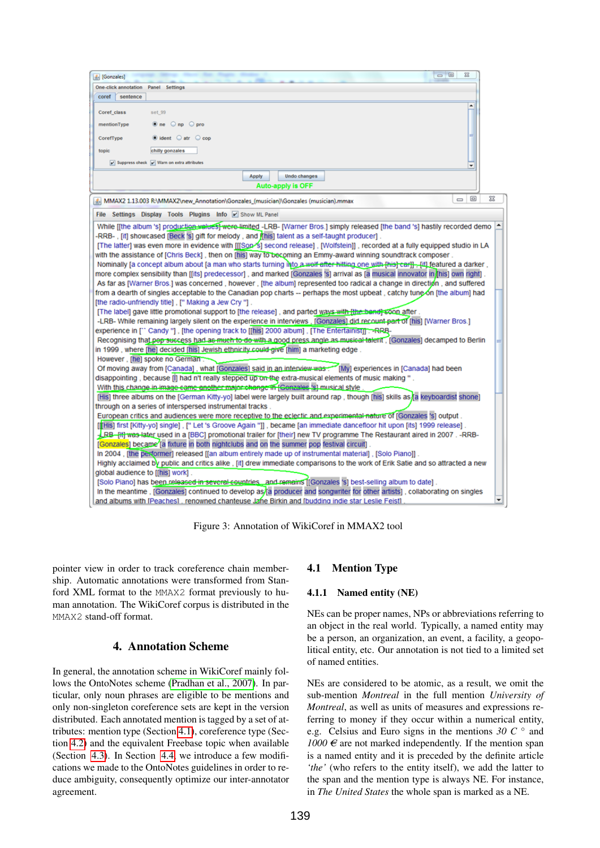| $\Box$<br>$\Sigma$<br>Se [Gonzales]                                                                                                   |   |
|---------------------------------------------------------------------------------------------------------------------------------------|---|
| <b>One-click annotation</b> Panel Settings                                                                                            |   |
| coref<br>sentence                                                                                                                     |   |
| $\blacktriangle$<br>Coref class<br>set 99                                                                                             |   |
| $\bullet$ ne $\circ$ np $\circ$ pro<br>mentionType                                                                                    |   |
| $\bullet$ ident $\circ$ atr $\circ$ cop<br>CorefType                                                                                  |   |
| chilly gonzales<br>topic                                                                                                              |   |
| V Suppress check V Warn on extra attributes<br>٠                                                                                      |   |
|                                                                                                                                       |   |
| <b>Apply</b><br><b>Undo changes</b><br><b>Auto-apply is OFF</b>                                                                       |   |
|                                                                                                                                       |   |
| $\Box$<br>$\equiv$<br>MMAX2 1.13.003 R:\MMAX2\new_Annotation\Gonzales_(musician)\Gonzales (musician).mmax                             | ⅏ |
| File Settings Display Tools Plugins Info V Show ML Panel                                                                              |   |
| While [[the album 's] production walues] were limited -LRB- [Warner Bros.] simply released [the band 's] hastily recorded demo        | ÷ |
| . [It] showcased [Beck S] gift for melody, and finis] talent as a self-taught producer]-                                              |   |
| [The latter] was even more in evidence with [[[Son is ] second release], [Wolfstein]], recorded at a fully equipped studio in LA      |   |
| with the assistance of [Chris Beck], then on [his] way to becoming an Emmy-award winning soundtrack composer,                         |   |
| Nominally [a concept album about [a man who starts turning into a well after hitting one with [his] car]] [ii] featured a darker,     |   |
| more complex sensibility than [[its] predecessor], and marked [Gonzales 's] arrival as [a musical innovator in [his] own right]       |   |
| As far as [Warner Bros.] was concerned, however, [the album] represented too radical a change in direction, and suffered              |   |
| from a dearth of singles acceptable to the Canadian pop charts -- perhaps the most upbeat, catchy tune on [the album] had             |   |
| [the radio-unfriendly title], [" Making a Jew Cry "].                                                                                 |   |
| [The label] gave little promotional support to [the release], and parted ways with fthe band] soon after.                             |   |
| -LRB- While remaining largely silent on the experience in interviews, [Gonzales] did recount part of [his] [Warner Bros.]             |   |
| experience in [" Candy "], [the opening track to [[his] 2000 album], [The Entertainist]] :-- RRB-                                     |   |
| Recognising that pep success had as much to do with a good press angle as musical talent, [Gonzales] decamped to Berlin               |   |
| in 1999 , where [he] decided [his] Jewish ethnicity could give [him] a marketing edge.                                                |   |
| However, [he] spoke no German:                                                                                                        |   |
| Of moving away from [Canada], what [Gonzales] said in an interview was many [My] experiences in [Canada] had been                     |   |
| . " disappointing , because [i] had n't really stepped up on the extra-musical elements of music making                               |   |
| With this change in image came another major change in [Conzales 's] musical style                                                    |   |
| [His] three albums on the [German Kitty-yo] label were largely built around rap, though [his] skills as a a keyboardist shone]        |   |
| through on a series of interspersed instrumental tracks.                                                                              |   |
| European critics and audiences were more receptive to the eclectic and experimental nature of [Gonzales 's] output.                   |   |
| [[His] first [Kitty-yo] single], [" Let 's Groove Again "]], became [an immediate dancefloor hit upon [its] 1999 release].            |   |
| -LBB-f <del>it) was late</del> r used in a [BBC] promotional trailer for [their] new TV programme The Restaurant aired in 2007. -RRB- |   |
| [Gonzales] became [a fixture in both nightclubs and on the summer pop festival circuit].                                              |   |
| In 2004, [the performer] released [[an album entirely made up of instrumental material], [Solo Piano]].                               |   |
| Highly acclaimed by public and critics alike, [it] drew immediate comparisons to the work of Erik Satie and so attracted a new        |   |
| global audience to [[his] work].                                                                                                      |   |
| [Solo Piano] has been released in several countries and remains [[Gonzales 's] best-selling album to date].                           |   |
| In the meantime, [Gonzales] continued to develop as/[a producer and songwriter for other artists], collaborating on singles           | ٠ |
| and albums with [Peaches], renowned chanteuse Jane Birkin and [budding indie star Leslie Feist]                                       |   |

<span id="page-3-1"></span>Figure 3: Annotation of WikiCoref in MMAX2 tool

pointer view in order to track coreference chain membership. Automatic annotations were transformed from Stanford XML format to the MMAX2 format previously to human annotation. The WikiCoref corpus is distributed in the MMAX2 stand-off format.

# 4. Annotation Scheme

<span id="page-3-2"></span><span id="page-3-0"></span>In general, the annotation scheme in WikiCoref mainly follows the OntoNotes scheme [\(Pradhan et al., 2007\)](#page-6-2). In particular, only noun phrases are eligible to be mentions and only non-singleton coreference sets are kept in the version distributed. Each annotated mention is tagged by a set of attributes: mention type (Section [4.1\)](#page-3-2), coreference type (Section [4.2\)](#page-4-1) and the equivalent Freebase topic when available (Section [4.3\)](#page-4-2). In Section [4.4,](#page-4-3) we introduce a few modifications we made to the OntoNotes guidelines in order to reduce ambiguity, consequently optimize our inter-annotator agreement.

# 4.1 Mention Type

### 4.1.1 Named entity (NE)

NEs can be proper names, NPs or abbreviations referring to an object in the real world. Typically, a named entity may be a person, an organization, an event, a facility, a geopolitical entity, etc. Our annotation is not tied to a limited set of named entities.

NEs are considered to be atomic, as a result, we omit the sub-mention *Montreal* in the full mention *University of Montreal*, as well as units of measures and expressions referring to money if they occur within a numerical entity, e.g. Celsius and Euro signs in the mentions  $30\,C$   $\circ$  and  $1000 \in \text{arc}$  not marked independently. If the mention span is a named entity and it is preceded by the definite article *'the'* (who refers to the entity itself), we add the latter to the span and the mention type is always NE. For instance, in *The United States* the whole span is marked as a NE.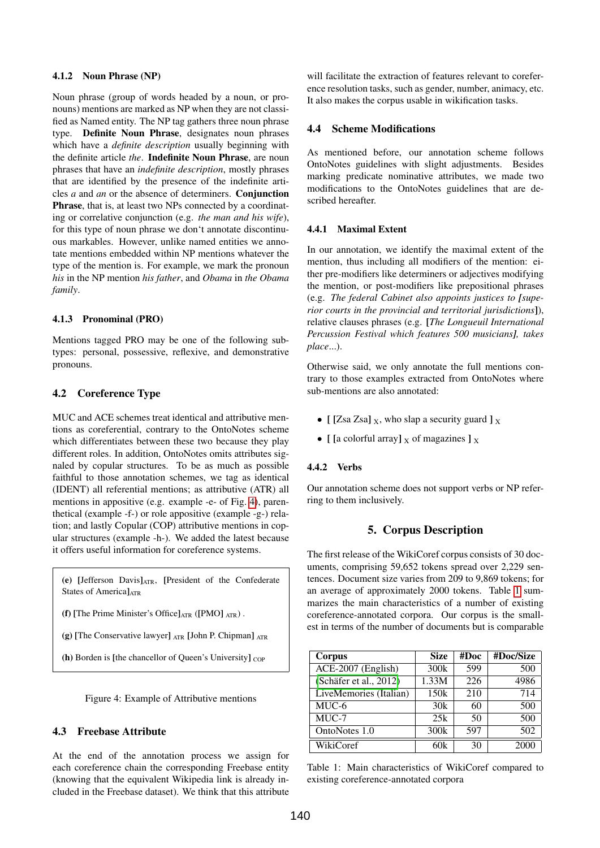#### 4.1.2 Noun Phrase (NP)

Noun phrase (group of words headed by a noun, or pronouns) mentions are marked as NP when they are not classified as Named entity. The NP tag gathers three noun phrase type. Definite Noun Phrase, designates noun phrases which have a *definite description* usually beginning with the definite article *the*. Indefinite Noun Phrase, are noun phrases that have an *indefinite description*, mostly phrases that are identified by the presence of the indefinite articles *a* and *an* or the absence of determiners. Conjunction Phrase, that is, at least two NPs connected by a coordinating or correlative conjunction (e.g. *the man and his wife*), for this type of noun phrase we don't annotate discontinuous markables. However, unlike named entities we annotate mentions embedded within NP mentions whatever the type of the mention is. For example, we mark the pronoun *his* in the NP mention *his father*, and *Obama* in *the Obama family*.

#### 4.1.3 Pronominal (PRO)

Mentions tagged PRO may be one of the following subtypes: personal, possessive, reflexive, and demonstrative pronouns.

### <span id="page-4-1"></span>4.2 Coreference Type

MUC and ACE schemes treat identical and attributive mentions as coreferential, contrary to the OntoNotes scheme which differentiates between these two because they play different roles. In addition, OntoNotes omits attributes signaled by copular structures. To be as much as possible faithful to those annotation schemes, we tag as identical (IDENT) all referential mentions; as attributive (ATR) all mentions in appositive (e.g. example -e- of Fig. [4\)](#page-4-4), parenthetical (example -f-) or role appositive (example -g-) relation; and lastly Copular (COP) attributive mentions in copular structures (example -h-). We added the latest because it offers useful information for coreference systems.

(e) [Jefferson Davis]ATR, [President of the Confederate States of America]<sub>ATR</sub>

(f) [The Prime Minister's Office] $_{\text{ATR}}$  ([PMO]  $_{\text{ATR}}$ ).

(g) [The Conservative lawyer]  $_{\text{ATR}}$  [John P. Chipman]  $_{\text{ATR}}$ 

(h) Borden is [the chancellor of Queen's University]  $_{\rm{COP}}$ 

<span id="page-4-4"></span>Figure 4: Example of Attributive mentions

## <span id="page-4-2"></span>4.3 Freebase Attribute

At the end of the annotation process we assign for each coreference chain the corresponding Freebase entity (knowing that the equivalent Wikipedia link is already included in the Freebase dataset). We think that this attribute will facilitate the extraction of features relevant to coreference resolution tasks, such as gender, number, animacy, etc. It also makes the corpus usable in wikification tasks.

### <span id="page-4-3"></span>4.4 Scheme Modifications

As mentioned before, our annotation scheme follows OntoNotes guidelines with slight adjustments. Besides marking predicate nominative attributes, we made two modifications to the OntoNotes guidelines that are described hereafter.

#### 4.4.1 Maximal Extent

In our annotation, we identify the maximal extent of the mention, thus including all modifiers of the mention: either pre-modifiers like determiners or adjectives modifying the mention, or post-modifiers like prepositional phrases (e.g. *The federal Cabinet also appoints justices to [superior courts in the provincial and territorial jurisdictions*]), relative clauses phrases (e.g. [*The Longueuil International Percussion Festival which features 500 musicians], takes place*...).

Otherwise said, we only annotate the full mentions contrary to those examples extracted from OntoNotes where sub-mentions are also annotated:

- [ [Zsa Zsa]  $_X$ , who slap a security guard ]  $_X$
- [ [a colorful array]  $\chi$  of magazines ]  $\chi$

#### 4.4.2 Verbs

<span id="page-4-0"></span>Our annotation scheme does not support verbs or NP referring to them inclusively.

#### 5. Corpus Description

The first release of the WikiCoref corpus consists of 30 documents, comprising 59,652 tokens spread over 2,229 sentences. Document size varies from 209 to 9,869 tokens; for an average of approximately 2000 tokens. Table [1](#page-4-5) summarizes the main characteristics of a number of existing coreference-annotated corpora. Our corpus is the smallest in terms of the number of documents but is comparable

| Corpus                 | <b>Size</b>      | #Doc | #Doc/Size |
|------------------------|------------------|------|-----------|
| ACE-2007 (English)     | 300k             | 599  | 500       |
| (Schäfer et al., 2012) | 1.33M            | 226  | 4986      |
| LiveMemories (Italian) | 150 <sub>k</sub> | 210  | 714       |
| MUC-6                  | 30k              | 60   | 500       |
| $\overline{MU}C-7$     | 25k              | 50   | 500       |
| OntoNotes 1.0          | 300k             | 597  | 502       |
| WikiCoref              | 60k              | 30   | 2000      |

<span id="page-4-5"></span>Table 1: Main characteristics of WikiCoref compared to existing coreference-annotated corpora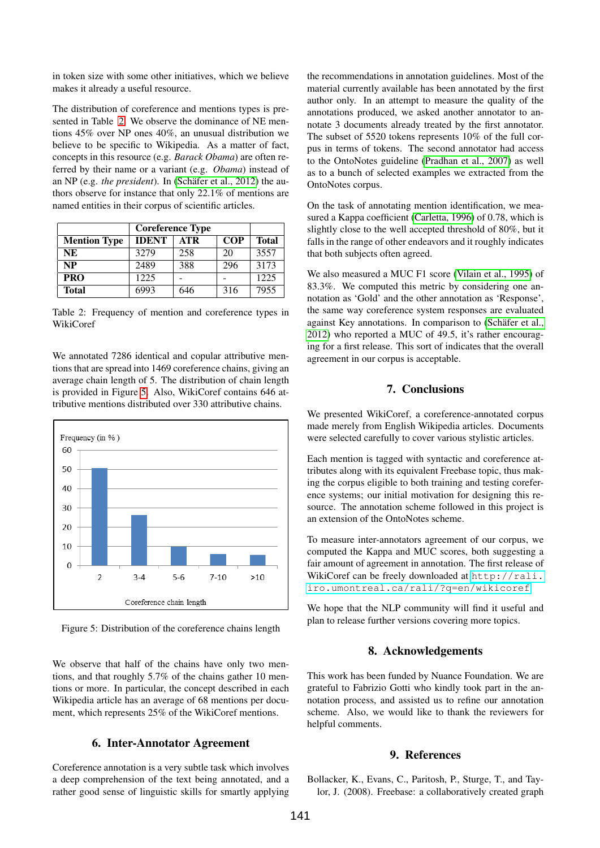in token size with some other initiatives, which we believe makes it already a useful resource.

The distribution of coreference and mentions types is presented in Table [2.](#page-5-2) We observe the dominance of NE mentions 45% over NP ones 40%, an unusual distribution we believe to be specific to Wikipedia. As a matter of fact, concepts in this resource (e.g. *Barack Obama*) are often referred by their name or a variant (e.g. *Obama*) instead of an NP (e.g. *the president*). In (Schäfer et al., 2012) the authors observe for instance that only 22.1% of mentions are named entities in their corpus of scientific articles.

|                     | <b>Coreference Type</b> |            |            |              |
|---------------------|-------------------------|------------|------------|--------------|
| <b>Mention Type</b> | <b>IDENT</b>            | <b>ATR</b> | <b>COP</b> | <b>Total</b> |
| NE                  | 32.79                   | 258        | 20         | 3557         |
| <b>NP</b>           | 2489                    | 388        | 296        | 3173         |
| <b>PRO</b>          | 1225                    |            |            | 1225         |
| <b>Total</b>        | 6993                    | 646        | 316        | 7955         |

<span id="page-5-2"></span>Table 2: Frequency of mention and coreference types in WikiCoref

We annotated 7286 identical and copular attributive mentions that are spread into 1469 coreference chains, giving an average chain length of 5. The distribution of chain length is provided in Figure [5.](#page-5-3) Also, WikiCoref contains 646 attributive mentions distributed over 330 attributive chains.



<span id="page-5-3"></span>Figure 5: Distribution of the coreference chains length

We observe that half of the chains have only two mentions, and that roughly 5.7% of the chains gather 10 mentions or more. In particular, the concept described in each Wikipedia article has an average of 68 mentions per document, which represents 25% of the WikiCoref mentions.

## <span id="page-5-0"></span>6. Inter-Annotator Agreement

Coreference annotation is a very subtle task which involves a deep comprehension of the text being annotated, and a rather good sense of linguistic skills for smartly applying the recommendations in annotation guidelines. Most of the material currently available has been annotated by the first author only. In an attempt to measure the quality of the annotations produced, we asked another annotator to annotate 3 documents already treated by the first annotator. The subset of 5520 tokens represents 10% of the full corpus in terms of tokens. The second annotator had access to the OntoNotes guideline [\(Pradhan et al., 2007\)](#page-6-2) as well as to a bunch of selected examples we extracted from the OntoNotes corpus.

On the task of annotating mention identification, we measured a Kappa coefficient [\(Carletta, 1996\)](#page-6-22) of 0.78, which is slightly close to the well accepted threshold of 80%, but it falls in the range of other endeavors and it roughly indicates that both subjects often agreed.

We also measured a MUC F1 score [\(Vilain et al., 1995\)](#page-6-23) of 83.3%. We computed this metric by considering one annotation as 'Gold' and the other annotation as 'Response', the same way coreference system responses are evaluated against Key annotations. In comparison to (Schäfer et al., [2012\)](#page-6-16) who reported a MUC of 49.5, it's rather encouraging for a first release. This sort of indicates that the overall agreement in our corpus is acceptable.

## 7. Conclusions

We presented WikiCoref, a coreference-annotated corpus made merely from English Wikipedia articles. Documents were selected carefully to cover various stylistic articles.

Each mention is tagged with syntactic and coreference attributes along with its equivalent Freebase topic, thus making the corpus eligible to both training and testing coreference systems; our initial motivation for designing this resource. The annotation scheme followed in this project is an extension of the OntoNotes scheme.

To measure inter-annotators agreement of our corpus, we computed the Kappa and MUC scores, both suggesting a fair amount of agreement in annotation. The first release of WikiCoref can be freely downloaded at [http://rali.](http://rali.iro.umontreal.ca/rali/?q=en/wikicoref) [iro.umontreal.ca/rali/?q=en/wikicoref](http://rali.iro.umontreal.ca/rali/?q=en/wikicoref).

We hope that the NLP community will find it useful and plan to release further versions covering more topics.

### 8. Acknowledgements

This work has been funded by Nuance Foundation. We are grateful to Fabrizio Gotti who kindly took part in the annotation process, and assisted us to refine our annotation scheme. Also, we would like to thank the reviewers for helpful comments.

#### 9. References

<span id="page-5-1"></span>Bollacker, K., Evans, C., Paritosh, P., Sturge, T., and Taylor, J. (2008). Freebase: a collaboratively created graph